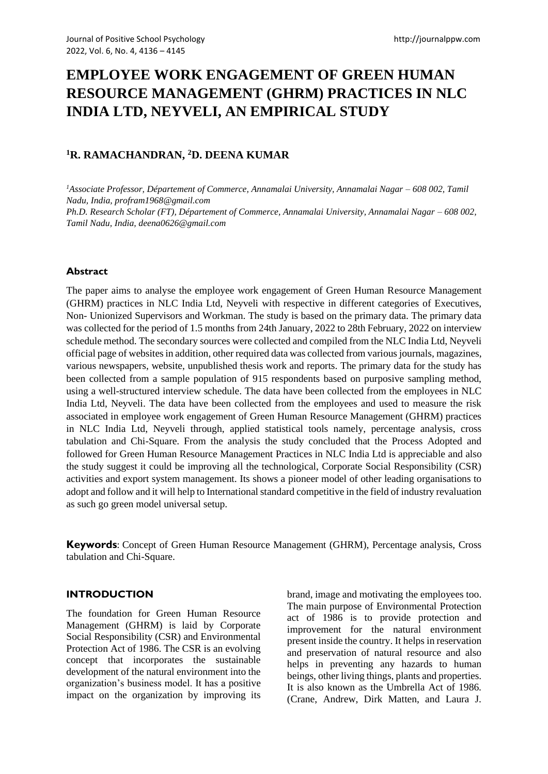# **EMPLOYEE WORK ENGAGEMENT OF GREEN HUMAN RESOURCE MANAGEMENT (GHRM) PRACTICES IN NLC INDIA LTD, NEYVELI, AN EMPIRICAL STUDY**

# **<sup>1</sup>R. RAMACHANDRAN, <sup>2</sup>D. DEENA KUMAR**

*<sup>1</sup>Associate Professor, Département of Commerce, Annamalai University, Annamalai Nagar – 608 002, Tamil Nadu, India, profram1968@gmail.com Ph.D. Research Scholar (FT), Département of Commerce, Annamalai University, Annamalai Nagar – 608 002, Tamil Nadu, India, deena0626@gmail.com* 

## **Abstract**

The paper aims to analyse the employee work engagement of Green Human Resource Management (GHRM) practices in NLC India Ltd, Neyveli with respective in different categories of Executives, Non- Unionized Supervisors and Workman. The study is based on the primary data. The primary data was collected for the period of 1.5 months from 24th January, 2022 to 28th February, 2022 on interview schedule method. The secondary sources were collected and compiled from the NLC India Ltd, Neyveli official page of websites in addition, other required data was collected from various journals, magazines, various newspapers, website, unpublished thesis work and reports. The primary data for the study has been collected from a sample population of 915 respondents based on purposive sampling method, using a well-structured interview schedule. The data have been collected from the employees in NLC India Ltd, Neyveli. The data have been collected from the employees and used to measure the risk associated in employee work engagement of Green Human Resource Management (GHRM) practices in NLC India Ltd, Neyveli through, applied statistical tools namely, percentage analysis, cross tabulation and Chi-Square. From the analysis the study concluded that the Process Adopted and followed for Green Human Resource Management Practices in NLC India Ltd is appreciable and also the study suggest it could be improving all the technological, Corporate Social Responsibility (CSR) activities and export system management. Its shows a pioneer model of other leading organisations to adopt and follow and it will help to International standard competitive in the field of industry revaluation as such go green model universal setup.

**Keywords**: Concept of Green Human Resource Management (GHRM), Percentage analysis, Cross tabulation and Chi-Square.

#### **INTRODUCTION**

The foundation for Green Human Resource Management (GHRM) is laid by Corporate Social Responsibility (CSR) and Environmental Protection Act of 1986. The CSR is an evolving concept that incorporates the sustainable development of the natural environment into the organization's business model. It has a positive impact on the organization by improving its brand, image and motivating the employees too. The main purpose of Environmental Protection act of 1986 is to provide protection and improvement for the natural environment present inside the country. It helps in reservation and preservation of natural resource and also helps in preventing any hazards to human beings, other living things, plants and properties. It is also known as the Umbrella Act of 1986. (Crane, Andrew, Dirk Matten, and Laura J.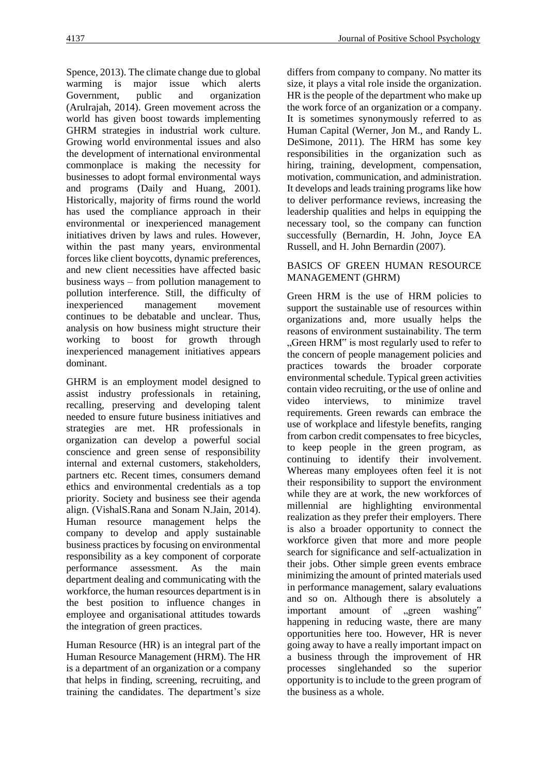Spence, 2013). The climate change due to global warming is major issue which alerts Government, public and organization (Arulrajah, 2014). Green movement across the world has given boost towards implementing GHRM strategies in industrial work culture. Growing world environmental issues and also the development of international environmental commonplace is making the necessity for businesses to adopt formal environmental ways and programs (Daily and Huang, 2001). Historically, majority of firms round the world has used the compliance approach in their environmental or inexperienced management initiatives driven by laws and rules. However, within the past many years, environmental forces like client boycotts, dynamic preferences, and new client necessities have affected basic business ways – from pollution management to pollution interference. Still, the difficulty of inexperienced management movement continues to be debatable and unclear. Thus, analysis on how business might structure their working to boost for growth through inexperienced management initiatives appears dominant.

GHRM is an employment model designed to assist industry professionals in retaining, recalling, preserving and developing talent needed to ensure future business initiatives and strategies are met. HR professionals in organization can develop a powerful social conscience and green sense of responsibility internal and external customers, stakeholders, partners etc. Recent times, consumers demand ethics and environmental credentials as a top priority. Society and business see their agenda align. (VishalS.Rana and Sonam N.Jain, 2014). Human resource management helps the company to develop and apply sustainable business practices by focusing on environmental responsibility as a key component of corporate performance assessment. As the main department dealing and communicating with the workforce, the human resources department is in the best position to influence changes in employee and organisational attitudes towards the integration of green practices.

Human Resource (HR) is an integral part of the Human Resource Management (HRM). The HR is a department of an organization or a company that helps in finding, screening, recruiting, and training the candidates. The department's size differs from company to company. No matter its size, it plays a vital role inside the organization. HR is the people of the department who make up the work force of an organization or a company. It is sometimes synonymously referred to as Human Capital (Werner, Jon M., and Randy L. DeSimone, 2011). The HRM has some key responsibilities in the organization such as hiring, training, development, compensation, motivation, communication, and administration. It develops and leads training programs like how to deliver performance reviews, increasing the leadership qualities and helps in equipping the necessary tool, so the company can function successfully (Bernardin, H. John, Joyce EA Russell, and H. John Bernardin (2007).

# BASICS OF GREEN HUMAN RESOURCE MANAGEMENT (GHRM)

Green HRM is the use of HRM policies to support the sustainable use of resources within organizations and, more usually helps the reasons of environment sustainability. The term "Green HRM" is most regularly used to refer to the concern of people management policies and practices towards the broader corporate environmental schedule. Typical green activities contain video recruiting, or the use of online and video interviews, to minimize travel requirements. Green rewards can embrace the use of workplace and lifestyle benefits, ranging from carbon credit compensates to free bicycles, to keep people in the green program, as continuing to identify their involvement. Whereas many employees often feel it is not their responsibility to support the environment while they are at work, the new workforces of millennial are highlighting environmental realization as they prefer their employers. There is also a broader opportunity to connect the workforce given that more and more people search for significance and self-actualization in their jobs. Other simple green events embrace minimizing the amount of printed materials used in performance management, salary evaluations and so on. Although there is absolutely a important amount of "green washing" important amount of "green happening in reducing waste, there are many opportunities here too. However, HR is never going away to have a really important impact on a business through the improvement of HR processes singlehanded so the superior opportunity is to include to the green program of the business as a whole.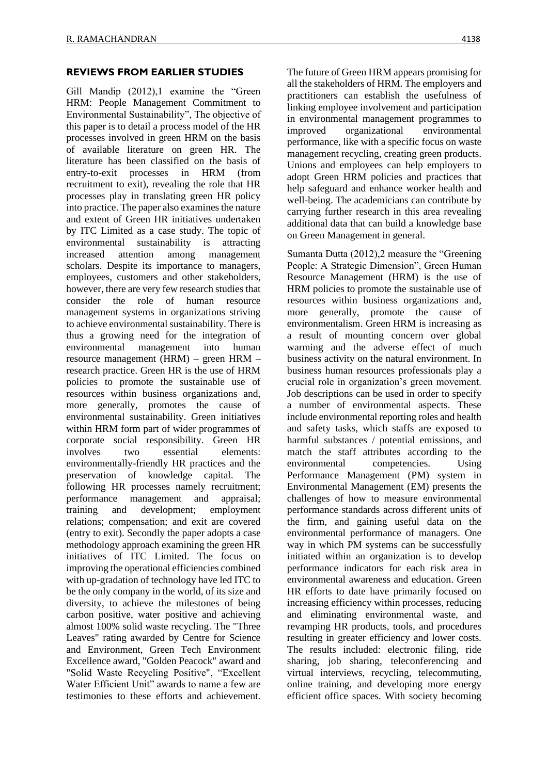#### **REVIEWS FROM EARLIER STUDIES**

Gill Mandip (2012),1 examine the "Green HRM: People Management Commitment to Environmental Sustainability", The objective of this paper is to detail a process model of the HR processes involved in green HRM on the basis of available literature on green HR. The literature has been classified on the basis of entry-to-exit processes in HRM (from recruitment to exit), revealing the role that HR processes play in translating green HR policy into practice. The paper also examines the nature and extent of Green HR initiatives undertaken by ITC Limited as a case study. The topic of environmental sustainability is attracting increased attention among management scholars. Despite its importance to managers, employees, customers and other stakeholders, however, there are very few research studies that consider the role of human resource management systems in organizations striving to achieve environmental sustainability. There is thus a growing need for the integration of environmental management into human resource management (HRM) – green HRM – research practice. Green HR is the use of HRM policies to promote the sustainable use of resources within business organizations and, more generally, promotes the cause of environmental sustainability. Green initiatives within HRM form part of wider programmes of corporate social responsibility. Green HR involves two essential elements: environmentally-friendly HR practices and the preservation of knowledge capital. The following HR processes namely recruitment; performance management and appraisal; training and development; employment relations; compensation; and exit are covered (entry to exit). Secondly the paper adopts a case methodology approach examining the green HR initiatives of ITC Limited. The focus on improving the operational efficiencies combined with up-gradation of technology have led ITC to be the only company in the world, of its size and diversity, to achieve the milestones of being carbon positive, water positive and achieving almost 100% solid waste recycling. The "Three Leaves" rating awarded by Centre for Science and Environment, Green Tech Environment Excellence award, "Golden Peacock" award and "Solid Waste Recycling Positive", "Excellent Water Efficient Unit" awards to name a few are testimonies to these efforts and achievement. The future of Green HRM appears promising for all the stakeholders of HRM. The employers and practitioners can establish the usefulness of linking employee involvement and participation in environmental management programmes to improved organizational environmental performance, like with a specific focus on waste management recycling, creating green products. Unions and employees can help employers to adopt Green HRM policies and practices that help safeguard and enhance worker health and well-being. The academicians can contribute by carrying further research in this area revealing additional data that can build a knowledge base on Green Management in general.

Sumanta Dutta (2012),2 measure the "Greening People: A Strategic Dimension", Green Human Resource Management (HRM) is the use of HRM policies to promote the sustainable use of resources within business organizations and, more generally, promote the cause of environmentalism. Green HRM is increasing as a result of mounting concern over global warming and the adverse effect of much business activity on the natural environment. In business human resources professionals play a crucial role in organization's green movement. Job descriptions can be used in order to specify a number of environmental aspects. These include environmental reporting roles and health and safety tasks, which staffs are exposed to harmful substances / potential emissions, and match the staff attributes according to the environmental competencies. Using Performance Management (PM) system in Environmental Management (EM) presents the challenges of how to measure environmental performance standards across different units of the firm, and gaining useful data on the environmental performance of managers. One way in which PM systems can be successfully initiated within an organization is to develop performance indicators for each risk area in environmental awareness and education. Green HR efforts to date have primarily focused on increasing efficiency within processes, reducing and eliminating environmental waste, and revamping HR products, tools, and procedures resulting in greater efficiency and lower costs. The results included: electronic filing, ride sharing, job sharing, teleconferencing and virtual interviews, recycling, telecommuting, online training, and developing more energy efficient office spaces. With society becoming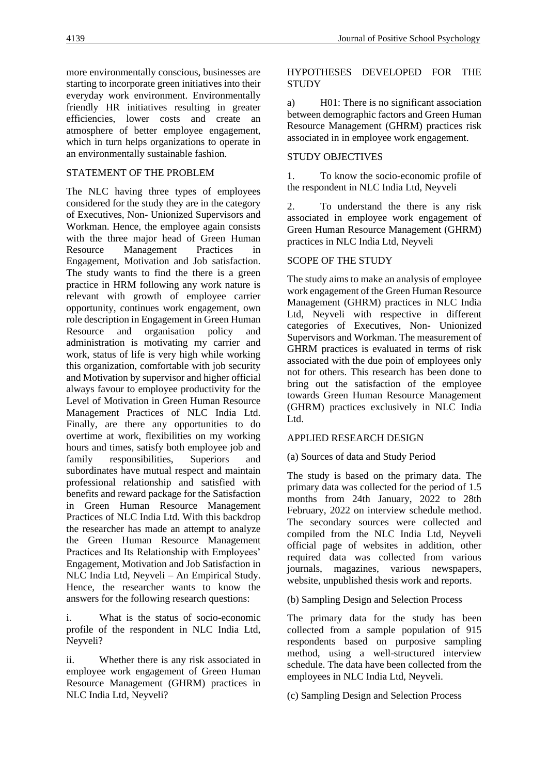more environmentally conscious, businesses are starting to incorporate green initiatives into their everyday work environment. Environmentally friendly HR initiatives resulting in greater efficiencies, lower costs and create an atmosphere of better employee engagement, which in turn helps organizations to operate in an environmentally sustainable fashion.

# STATEMENT OF THE PROBLEM

The NLC having three types of employees considered for the study they are in the category of Executives, Non- Unionized Supervisors and Workman. Hence, the employee again consists with the three major head of Green Human Resource Management Practices in Engagement, Motivation and Job satisfaction. The study wants to find the there is a green practice in HRM following any work nature is relevant with growth of employee carrier opportunity, continues work engagement, own role description in Engagement in Green Human Resource and organisation policy and administration is motivating my carrier and work, status of life is very high while working this organization, comfortable with job security and Motivation by supervisor and higher official always favour to employee productivity for the Level of Motivation in Green Human Resource Management Practices of NLC India Ltd. Finally, are there any opportunities to do overtime at work, flexibilities on my working hours and times, satisfy both employee job and family responsibilities, Superiors and subordinates have mutual respect and maintain professional relationship and satisfied with benefits and reward package for the Satisfaction in Green Human Resource Management Practices of NLC India Ltd. With this backdrop the researcher has made an attempt to analyze the Green Human Resource Management Practices and Its Relationship with Employees' Engagement, Motivation and Job Satisfaction in NLC India Ltd, Neyveli – An Empirical Study. Hence, the researcher wants to know the answers for the following research questions:

i. What is the status of socio-economic profile of the respondent in NLC India Ltd, Neyveli?

ii. Whether there is any risk associated in employee work engagement of Green Human Resource Management (GHRM) practices in NLC India Ltd, Neyveli?

# HYPOTHESES DEVELOPED FOR THE **STUDY**

a) H01: There is no significant association between demographic factors and Green Human Resource Management (GHRM) practices risk associated in in employee work engagement.

# STUDY OBJECTIVES

1. To know the socio-economic profile of the respondent in NLC India Ltd, Neyveli

2. To understand the there is any risk associated in employee work engagement of Green Human Resource Management (GHRM) practices in NLC India Ltd, Neyveli

# SCOPE OF THE STUDY

The study aims to make an analysis of employee work engagement of the Green Human Resource Management (GHRM) practices in NLC India Ltd, Neyveli with respective in different categories of Executives, Non- Unionized Supervisors and Workman. The measurement of GHRM practices is evaluated in terms of risk associated with the due poin of employees only not for others. This research has been done to bring out the satisfaction of the employee towards Green Human Resource Management (GHRM) practices exclusively in NLC India Ltd.

# APPLIED RESEARCH DESIGN

(a) Sources of data and Study Period

The study is based on the primary data. The primary data was collected for the period of 1.5 months from 24th January, 2022 to 28th February, 2022 on interview schedule method. The secondary sources were collected and compiled from the NLC India Ltd, Neyveli official page of websites in addition, other required data was collected from various journals, magazines, various newspapers, website, unpublished thesis work and reports.

(b) Sampling Design and Selection Process

The primary data for the study has been collected from a sample population of 915 respondents based on purposive sampling method, using a well-structured interview schedule. The data have been collected from the employees in NLC India Ltd, Neyveli.

(c) Sampling Design and Selection Process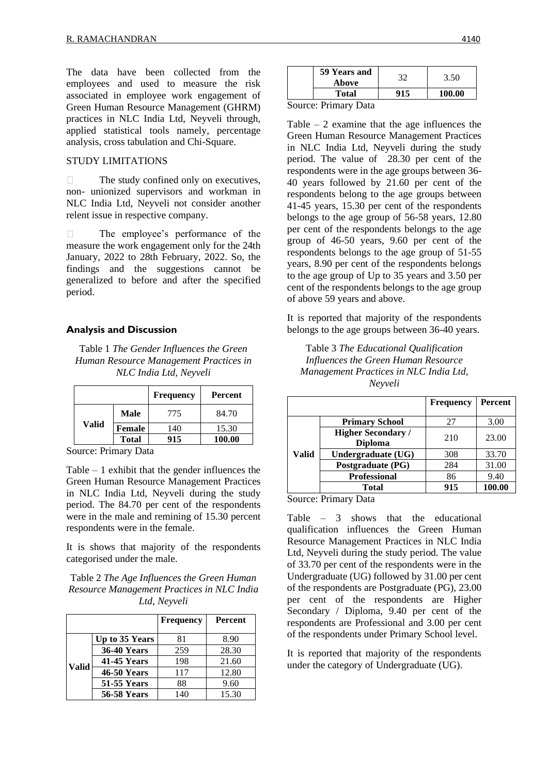The data have been collected from the employees and used to measure the risk associated in employee work engagement of Green Human Resource Management (GHRM) practices in NLC India Ltd, Neyveli through, applied statistical tools namely, percentage analysis, cross tabulation and Chi-Square.

#### STUDY LIMITATIONS

 $\Box$ The study confined only on executives, non- unionized supervisors and workman in NLC India Ltd, Neyveli not consider another relent issue in respective company.

The employee's performance of the  $\Box$ measure the work engagement only for the 24th January, 2022 to 28th February, 2022. So, the findings and the suggestions cannot be generalized to before and after the specified period.

#### **Analysis and Discussion**

Table 1 *The Gender Influences the Green Human Resource Management Practices in NLC India Ltd, Neyveli*

|              |              | <b>Frequency</b> | Percent |
|--------------|--------------|------------------|---------|
|              | Male         | 775              | 84.70   |
| <b>Valid</b> | Female       | 140              | 15.30   |
|              | <b>Total</b> | 915              | 100.00  |

Source: Primary Data

Table  $-1$  exhibit that the gender influences the Green Human Resource Management Practices in NLC India Ltd, Neyveli during the study period. The 84.70 per cent of the respondents were in the male and remining of 15.30 percent respondents were in the female.

It is shows that majority of the respondents categorised under the male.

Table 2 *The Age Influences the Green Human Resource Management Practices in NLC India Ltd, Neyveli*

|              |                    | <b>Frequency</b> | <b>Percent</b> |
|--------------|--------------------|------------------|----------------|
|              | Up to 35 Years     | 81               | 8.90           |
|              | <b>36-40 Years</b> | 259              | 28.30          |
| <b>Valid</b> | 41-45 Years        | 198              | 21.60          |
|              | <b>46-50 Years</b> | 117              | 12.80          |
|              | <b>51-55 Years</b> | 88               | 9.60           |
|              | <b>56-58 Years</b> | 140              | 15.30          |

| 59 Years and<br>Above | າາ  | 3.50   |
|-----------------------|-----|--------|
| Total                 | 915 | 100.00 |

Source: Primary Data

Table  $-2$  examine that the age influences the Green Human Resource Management Practices in NLC India Ltd, Neyveli during the study period. The value of 28.30 per cent of the respondents were in the age groups between 36- 40 years followed by 21.60 per cent of the respondents belong to the age groups between 41-45 years, 15.30 per cent of the respondents belongs to the age group of 56-58 years, 12.80 per cent of the respondents belongs to the age group of 46-50 years, 9.60 per cent of the respondents belongs to the age group of 51-55 years, 8.90 per cent of the respondents belongs to the age group of Up to 35 years and 3.50 per cent of the respondents belongs to the age group of above 59 years and above.

It is reported that majority of the respondents belongs to the age groups between 36-40 years.

Table 3 *The Educational Qualification Influences the Green Human Resource Management Practices in NLC India Ltd, Neyveli*

|       |                                             | <b>Frequency</b> | <b>Percent</b> |
|-------|---------------------------------------------|------------------|----------------|
|       |                                             |                  |                |
|       | <b>Primary School</b>                       | 27               | 3.00           |
|       | <b>Higher Secondary</b> /<br><b>Diploma</b> | 210              | 23.00          |
| Valid | Undergraduate (UG)                          | 308              | 33.70          |
|       | Postgraduate (PG)                           | 284              | 31.00          |
|       | <b>Professional</b>                         | 86               | 9.40           |
|       | <b>Total</b>                                | 915              | 100.00         |

Source: Primary Data

Table – 3 shows that the educational qualification influences the Green Human Resource Management Practices in NLC India Ltd, Neyveli during the study period. The value of 33.70 per cent of the respondents were in the Undergraduate (UG) followed by 31.00 per cent of the respondents are Postgraduate (PG), 23.00 per cent of the respondents are Higher Secondary / Diploma, 9.40 per cent of the respondents are Professional and 3.00 per cent of the respondents under Primary School level.

It is reported that majority of the respondents under the category of Undergraduate (UG).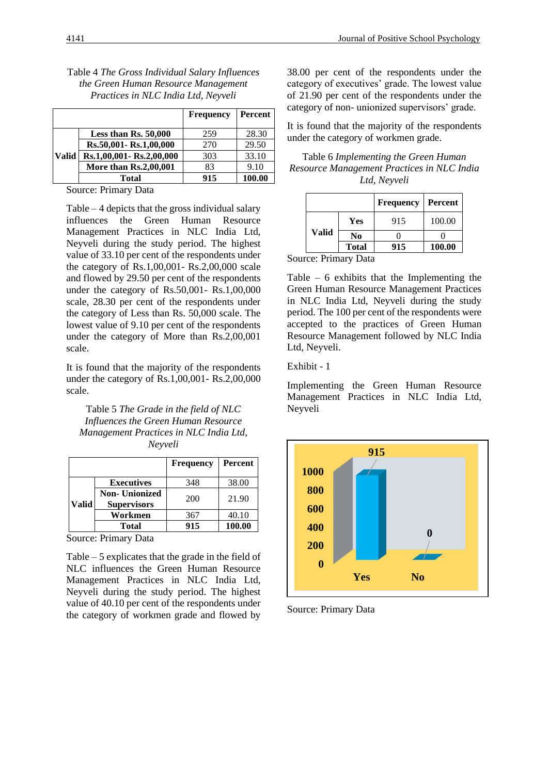## Table 4 *The Gross Individual Salary Influences the Green Human Resource Management Practices in NLC India Ltd, Neyveli*

|              |                          | <b>Frequency</b> | <b>Percent</b> |
|--------------|--------------------------|------------------|----------------|
|              | Less than $Rs. 50,000$   | 259              | 28.30          |
|              | Rs.50,001-Rs.1,00,000    | 270              | 29.50          |
| <b>Valid</b> | Rs.1,00,001- Rs.2,00,000 | 303              | 33.10          |
|              | More than Rs.2,00,001    | 83               | 9.10           |
|              | Total                    | 915              | 100.00         |

Source: Primary Data

Table – 4 depicts that the gross individual salary influences the Green Human Resource Management Practices in NLC India Ltd, Neyveli during the study period. The highest value of 33.10 per cent of the respondents under the category of Rs.1,00,001- Rs.2,00,000 scale and flowed by 29.50 per cent of the respondents under the category of Rs.50,001- Rs.1,00,000 scale, 28.30 per cent of the respondents under the category of Less than Rs. 50,000 scale. The lowest value of 9.10 per cent of the respondents under the category of More than Rs.2,00,001 scale.

It is found that the majority of the respondents under the category of Rs.1,00,001- Rs.2,00,000 scale.

Table 5 *The Grade in the field of NLC Influences the Green Human Resource Management Practices in NLC India Ltd, Neyveli*

|       |                                            | <b>Frequency</b> | <b>Percent</b> |
|-------|--------------------------------------------|------------------|----------------|
|       | <b>Executives</b>                          | 348              | 38.00          |
| Valid | <b>Non-Unionized</b><br><b>Supervisors</b> | 200              | 21.90          |
|       | Workmen                                    | 367              | 40.10          |
|       | <b>Total</b>                               | 915              | 100.00         |

Source: Primary Data

Table – 5 explicates that the grade in the field of NLC influences the Green Human Resource Management Practices in NLC India Ltd, Neyveli during the study period. The highest value of 40.10 per cent of the respondents under the category of workmen grade and flowed by 38.00 per cent of the respondents under the category of executives' grade. The lowest value of 21.90 per cent of the respondents under the category of non- unionized supervisors' grade.

It is found that the majority of the respondents under the category of workmen grade.

Table 6 *Implementing the Green Human Resource Management Practices in NLC India Ltd, Neyveli*

|       |              | <b>Frequency</b> | Percent |
|-------|--------------|------------------|---------|
|       | Yes          | 915              | 100.00  |
| Valid | No           |                  |         |
|       | <b>Total</b> | 915              | 100.00  |

Source: Primary Data

Table – 6 exhibits that the Implementing the Green Human Resource Management Practices in NLC India Ltd, Neyveli during the study period. The 100 per cent of the respondents were accepted to the practices of Green Human Resource Management followed by NLC India Ltd, Neyveli.

Exhibit - 1

Implementing the Green Human Resource Management Practices in NLC India Ltd, Neyveli



Source: Primary Data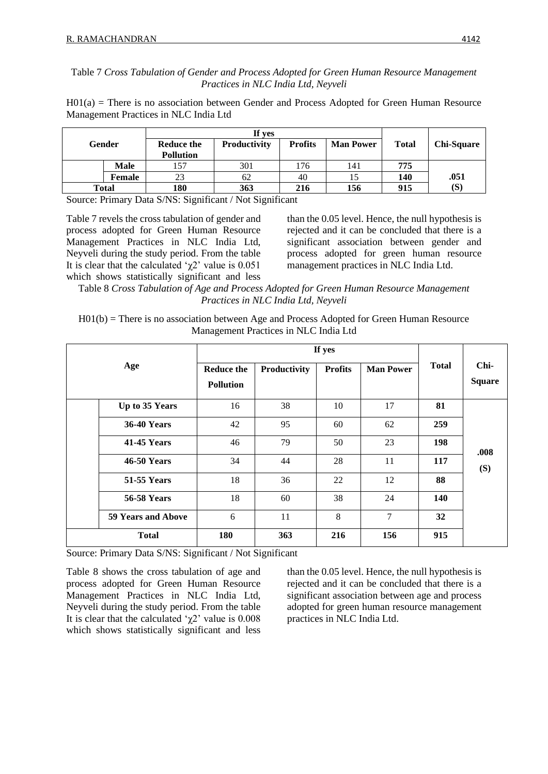Table 7 *Cross Tabulation of Gender and Process Adopted for Green Human Resource Management Practices in NLC India Ltd, Neyveli*

H01(a) = There is no association between Gender and Process Adopted for Green Human Resource Management Practices in NLC India Ltd

| Gender        | <b>Reduce the</b><br><b>Pollution</b> | <b>Productivity</b> | <b>Profits</b> | <b>Man Power</b> | <b>Total</b> | <b>Chi-Square</b> |
|---------------|---------------------------------------|---------------------|----------------|------------------|--------------|-------------------|
| <b>Male</b>   | 157                                   | 301                 | 176            | l 41             | 775          |                   |
| <b>Female</b> | 23                                    | 62                  | 40             |                  | 140          | .051              |
| <b>Total</b>  | 180                                   | 363                 | 216            | 156              | 915          | (S)               |

Source: Primary Data S/NS: Significant / Not Significant

Table 7 revels the cross tabulation of gender and process adopted for Green Human Resource Management Practices in NLC India Ltd, Neyveli during the study period. From the table It is clear that the calculated ' $χ$ 2' value is 0.051 which shows statistically significant and less than the 0.05 level. Hence, the null hypothesis is rejected and it can be concluded that there is a significant association between gender and process adopted for green human resource management practices in NLC India Ltd.

Table 8 *Cross Tabulation of Age and Process Adopted for Green Human Resource Management Practices in NLC India Ltd, Neyveli*

H01(b) = There is no association between Age and Process Adopted for Green Human Resource Management Practices in NLC India Ltd

|  | Age                       | <b>Reduce the</b><br><b>Pollution</b> | Productivity | <b>Profits</b> | <b>Man Power</b> | <b>Total</b> | Chi-<br><b>Square</b> |
|--|---------------------------|---------------------------------------|--------------|----------------|------------------|--------------|-----------------------|
|  | Up to 35 Years            | 16                                    | 38           | 10             | 17               | 81           |                       |
|  | <b>36-40 Years</b>        | 42                                    | 95           | 60             | 62               | 259          |                       |
|  | 41-45 Years               | 46                                    | 79           | 50             | 23               | 198          | .008                  |
|  | <b>46-50 Years</b>        | 34                                    | 44           | 28             | 11               | 117          | (S)                   |
|  | <b>51-55 Years</b>        | 18                                    | 36           | 22             | 12               | 88           |                       |
|  | <b>56-58 Years</b>        | 18                                    | 60           | 38             | 24               | <b>140</b>   |                       |
|  | <b>59 Years and Above</b> | 6                                     | 11           | 8              | $\tau$           | 32           |                       |
|  | <b>Total</b>              | 180                                   | 363          | 216            | 156              | 915          |                       |

Source: Primary Data S/NS: Significant / Not Significant

Table 8 shows the cross tabulation of age and process adopted for Green Human Resource Management Practices in NLC India Ltd, Neyveli during the study period. From the table It is clear that the calculated ' $\chi$ <sup>2</sup>' value is 0.008 which shows statistically significant and less than the 0.05 level. Hence, the null hypothesis is rejected and it can be concluded that there is a significant association between age and process adopted for green human resource management practices in NLC India Ltd.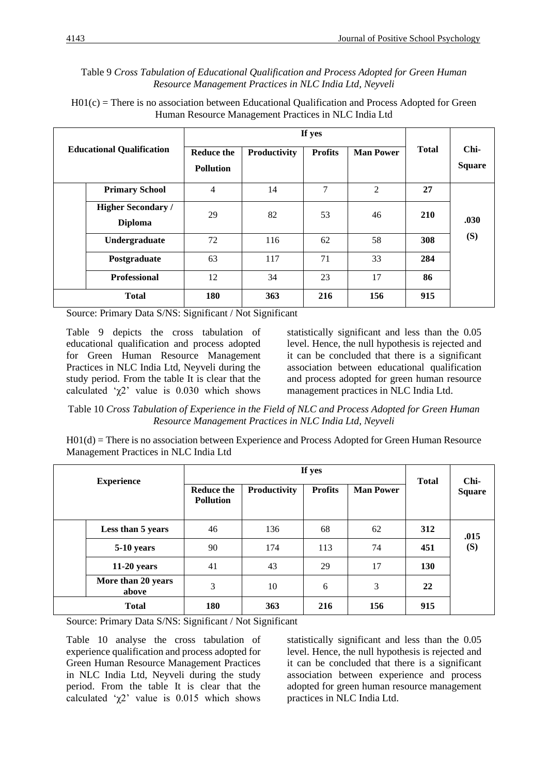## Table 9 *Cross Tabulation of Educational Qualification and Process Adopted for Green Human Resource Management Practices in NLC India Ltd, Neyveli*

 $H(01(c))$  = There is no association between Educational Qualification and Process Adopted for Green Human Resource Management Practices in NLC India Ltd

|  |                                             | If yes                                |                     |                |                  |              |                       |
|--|---------------------------------------------|---------------------------------------|---------------------|----------------|------------------|--------------|-----------------------|
|  | <b>Educational Qualification</b>            | <b>Reduce the</b><br><b>Pollution</b> | <b>Productivity</b> | <b>Profits</b> | <b>Man Power</b> | <b>Total</b> | Chi-<br><b>Square</b> |
|  | <b>Primary School</b>                       | 4                                     | 14                  | $\tau$         | 2                | 27           |                       |
|  | <b>Higher Secondary /</b><br><b>Diploma</b> | 29                                    | 82                  | 53             | 46               | <b>210</b>   | .030                  |
|  | Undergraduate                               | 72                                    | 116                 | 62             | 58               | 308          | (S)                   |
|  | Postgraduate                                | 63                                    | 117                 | 71             | 33               | 284          |                       |
|  | <b>Professional</b>                         | 12                                    | 34                  | 23             | 17               | 86           |                       |
|  | <b>Total</b>                                | 180                                   | 363                 | 216            | 156              | 915          |                       |

Source: Primary Data S/NS: Significant / Not Significant

Table 9 depicts the cross tabulation of educational qualification and process adopted for Green Human Resource Management Practices in NLC India Ltd, Neyveli during the study period. From the table It is clear that the calculated ' $\gamma$ 2' value is 0.030 which shows statistically significant and less than the 0.05 level. Hence, the null hypothesis is rejected and it can be concluded that there is a significant association between educational qualification and process adopted for green human resource management practices in NLC India Ltd.

Table 10 *Cross Tabulation of Experience in the Field of NLC and Process Adopted for Green Human Resource Management Practices in NLC India Ltd, Neyveli*

H01(d) = There is no association between Experience and Process Adopted for Green Human Resource Management Practices in NLC India Ltd

| <b>Experience</b> |                             |                                       | <b>Total</b>        | Chi-           |                  |            |               |
|-------------------|-----------------------------|---------------------------------------|---------------------|----------------|------------------|------------|---------------|
|                   |                             | <b>Reduce the</b><br><b>Pollution</b> | <b>Productivity</b> | <b>Profits</b> | <b>Man Power</b> |            | <b>Square</b> |
|                   | Less than 5 years           | 46                                    | 136                 | 68             | 62               | 312        | .015          |
|                   | 5-10 years                  | 90                                    | 174                 | 113            | 74               | 451        | (S)           |
|                   | $11-20$ years               | 41                                    | 43                  | 29             | 17               | <b>130</b> |               |
|                   | More than 20 years<br>above | 3                                     | 10                  | 6              | 3                | 22         |               |
|                   | <b>Total</b>                | 180                                   | 363                 | 216            | 156              | 915        |               |

Source: Primary Data S/NS: Significant / Not Significant

Table 10 analyse the cross tabulation of experience qualification and process adopted for Green Human Resource Management Practices in NLC India Ltd, Neyveli during the study period. From the table It is clear that the calculated ' $\chi$ <sup>2</sup>' value is 0.015 which shows statistically significant and less than the 0.05 level. Hence, the null hypothesis is rejected and it can be concluded that there is a significant association between experience and process adopted for green human resource management practices in NLC India Ltd.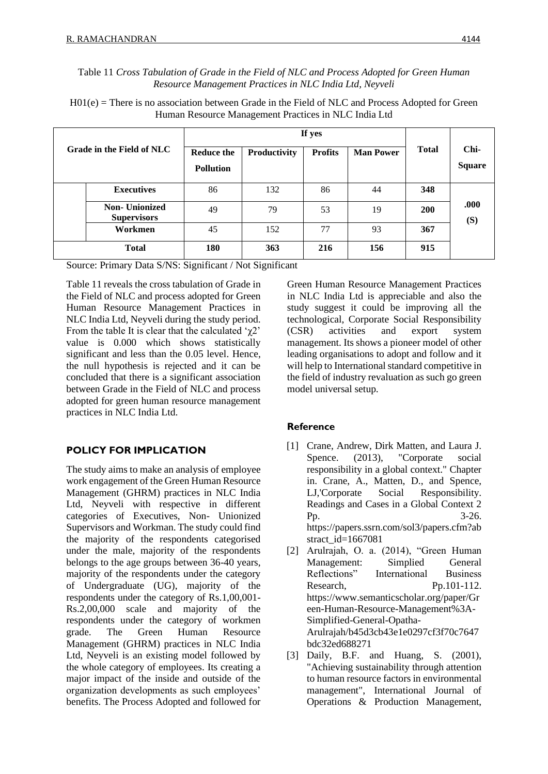# Table 11 *Cross Tabulation of Grade in the Field of NLC and Process Adopted for Green Human Resource Management Practices in NLC India Ltd, Neyveli*

| $H01(e)$ = There is no association between Grade in the Field of NLC and Process Adopted for Green |
|----------------------------------------------------------------------------------------------------|
| Human Resource Management Practices in NLC India Ltd                                               |

| Grade in the Field of NLC |                                             | If yes                                |                     |                |                  |              |                       |
|---------------------------|---------------------------------------------|---------------------------------------|---------------------|----------------|------------------|--------------|-----------------------|
|                           |                                             | <b>Reduce the</b><br><b>Pollution</b> | <b>Productivity</b> | <b>Profits</b> | <b>Man Power</b> | <b>Total</b> | Chi-<br><b>Square</b> |
|                           | <b>Executives</b>                           | 86                                    | 132                 | 86             | 44               | 348          |                       |
|                           | <b>Non-</b> Unionized<br><b>Supervisors</b> | 49                                    | 79                  | 53             | 19               | <b>200</b>   | .000<br>(S)           |
|                           | Workmen                                     | 45                                    | 152                 | 77             | 93               | 367          |                       |
|                           | <b>Total</b>                                | 180                                   | 363                 | 216            | 156              | 915          |                       |

Source: Primary Data S/NS: Significant / Not Significant

Table 11 reveals the cross tabulation of Grade in the Field of NLC and process adopted for Green Human Resource Management Practices in NLC India Ltd, Neyveli during the study period. From the table It is clear that the calculated ' $\gamma$ 2' value is 0.000 which shows statistically significant and less than the 0.05 level. Hence, the null hypothesis is rejected and it can be concluded that there is a significant association between Grade in the Field of NLC and process adopted for green human resource management practices in NLC India Ltd.

# **POLICY FOR IMPLICATION**

The study aims to make an analysis of employee work engagement of the Green Human Resource Management (GHRM) practices in NLC India Ltd, Neyveli with respective in different categories of Executives, Non- Unionized Supervisors and Workman. The study could find the majority of the respondents categorised under the male, majority of the respondents belongs to the age groups between 36-40 years, majority of the respondents under the category of Undergraduate (UG), majority of the respondents under the category of Rs.1,00,001- Rs.2,00,000 scale and majority of the respondents under the category of workmen grade. The Green Human Resource Management (GHRM) practices in NLC India Ltd, Neyveli is an existing model followed by the whole category of employees. Its creating a major impact of the inside and outside of the organization developments as such employees' benefits. The Process Adopted and followed for Green Human Resource Management Practices in NLC India Ltd is appreciable and also the study suggest it could be improving all the technological, Corporate Social Responsibility (CSR) activities and export system management. Its shows a pioneer model of other leading organisations to adopt and follow and it will help to International standard competitive in the field of industry revaluation as such go green model universal setup.

# **Reference**

- [1] Crane, Andrew, Dirk Matten, and Laura J. Spence. (2013), "Corporate social responsibility in a global context." Chapter in. Crane, A., Matten, D., and Spence, LJ,'Corporate Social Responsibility. Readings and Cases in a Global Context 2 Pp. 3-26. https://papers.ssrn.com/sol3/papers.cfm?ab stract $id=1667081$
- [2] Arulrajah, O. a. (2014), "Green Human Management: Simplied General Reflections" International Business Research, Pp.101-112. https://www.semanticscholar.org/paper/Gr een-Human-Resource-Management%3A-Simplified-General-Opatha-Arulrajah/b45d3cb43e1e0297cf3f70c7647 bdc32ed688271
- [3] Daily, B.F. and Huang, S. (2001), "Achieving sustainability through attention to human resource factors in environmental management", International Journal of Operations & Production Management,